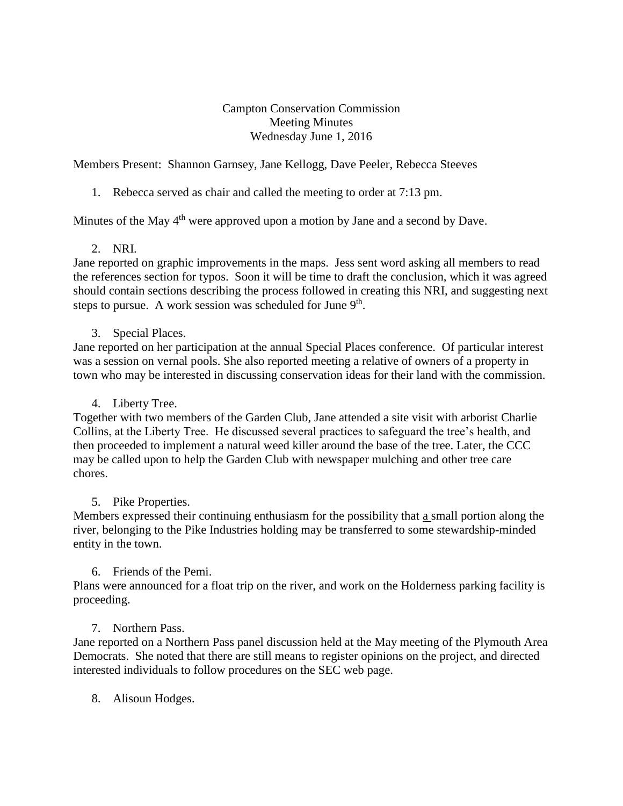Campton Conservation Commission Meeting Minutes Wednesday June 1, 2016

Members Present: Shannon Garnsey, Jane Kellogg, Dave Peeler, Rebecca Steeves

## 1. Rebecca served as chair and called the meeting to order at 7:13 pm.

Minutes of the May  $4<sup>th</sup>$  were approved upon a motion by Jane and a second by Dave.

### 2. NRI.

Jane reported on graphic improvements in the maps. Jess sent word asking all members to read the references section for typos. Soon it will be time to draft the conclusion, which it was agreed should contain sections describing the process followed in creating this NRI, and suggesting next steps to pursue. A work session was scheduled for June  $9<sup>th</sup>$ .

### 3. Special Places.

Jane reported on her participation at the annual Special Places conference. Of particular interest was a session on vernal pools. She also reported meeting a relative of owners of a property in town who may be interested in discussing conservation ideas for their land with the commission.

### 4. Liberty Tree.

Together with two members of the Garden Club, Jane attended a site visit with arborist Charlie Collins, at the Liberty Tree. He discussed several practices to safeguard the tree's health, and then proceeded to implement a natural weed killer around the base of the tree. Later, the CCC may be called upon to help the Garden Club with newspaper mulching and other tree care chores.

### 5. Pike Properties.

Members expressed their continuing enthusiasm for the possibility that a small portion along the river, belonging to the Pike Industries holding may be transferred to some stewardship-minded entity in the town.

### 6. Friends of the Pemi.

Plans were announced for a float trip on the river, and work on the Holderness parking facility is proceeding.

### 7. Northern Pass.

Jane reported on a Northern Pass panel discussion held at the May meeting of the Plymouth Area Democrats. She noted that there are still means to register opinions on the project, and directed interested individuals to follow procedures on the SEC web page.

8. Alisoun Hodges.